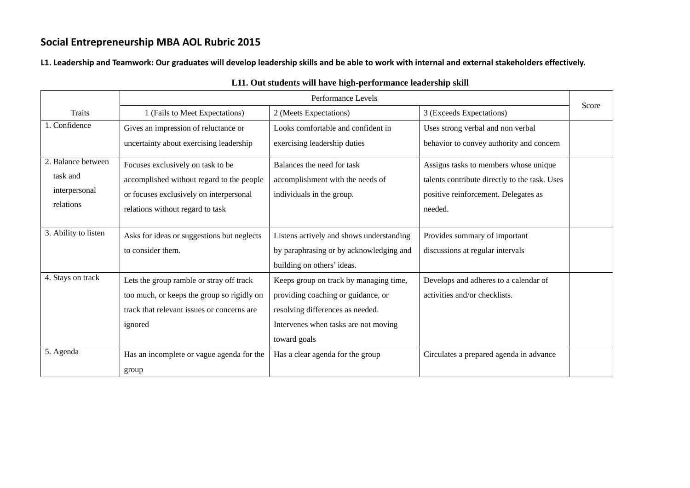L1. Leadership and Teamwork: Our graduates will develop leadership skills and be able to work with internal and external stakeholders effectively.

|                      | Performance Levels                         |                                          |                                               |       |
|----------------------|--------------------------------------------|------------------------------------------|-----------------------------------------------|-------|
| Traits               | 1 (Fails to Meet Expectations)             | 2 (Meets Expectations)                   | 3 (Exceeds Expectations)                      | Score |
| 1. Confidence        | Gives an impression of reluctance or       | Looks comfortable and confident in       | Uses strong verbal and non verbal             |       |
|                      | uncertainty about exercising leadership    | exercising leadership duties             | behavior to convey authority and concern      |       |
| 2. Balance between   | Focuses exclusively on task to be          | Balances the need for task               | Assigns tasks to members whose unique         |       |
| task and             | accomplished without regard to the people  | accomplishment with the needs of         | talents contribute directly to the task. Uses |       |
| interpersonal        | or focuses exclusively on interpersonal    | individuals in the group.                | positive reinforcement. Delegates as          |       |
| relations            | relations without regard to task           |                                          | needed.                                       |       |
|                      |                                            |                                          |                                               |       |
| 3. Ability to listen | Asks for ideas or suggestions but neglects | Listens actively and shows understanding | Provides summary of important                 |       |
|                      | to consider them.                          | by paraphrasing or by acknowledging and  | discussions at regular intervals              |       |
|                      |                                            | building on others' ideas.               |                                               |       |
| 4. Stays on track    | Lets the group ramble or stray off track   | Keeps group on track by managing time,   | Develops and adheres to a calendar of         |       |
|                      | too much, or keeps the group so rigidly on | providing coaching or guidance, or       | activities and/or checklists.                 |       |
|                      | track that relevant issues or concerns are | resolving differences as needed.         |                                               |       |
|                      | ignored                                    | Intervenes when tasks are not moving     |                                               |       |
|                      |                                            | toward goals                             |                                               |       |
| 5. Agenda            | Has an incomplete or vague agenda for the  | Has a clear agenda for the group         | Circulates a prepared agenda in advance       |       |
|                      | group                                      |                                          |                                               |       |

### **L11. Out students will have high-performance leadership skill**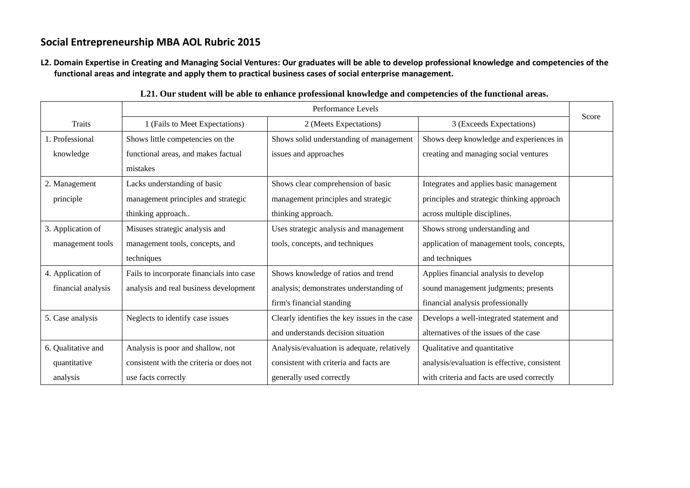L2. Domain Expertise in Creating and Managing Social Ventures: Our graduates will be able to develop professional knowledge and competencies of the **functional areas and integrate and apply them to practical business cases of social enterprise management.**

|                    | Performance Levels                        |                                               |                                              | Score |
|--------------------|-------------------------------------------|-----------------------------------------------|----------------------------------------------|-------|
| Traits             | 1 (Fails to Meet Expectations)            | 2 (Meets Expectations)                        | 3 (Exceeds Expectations)                     |       |
| 1. Professional    | Shows little competencies on the          | Shows solid understanding of management       | Shows deep knowledge and experiences in      |       |
| knowledge          | functional areas, and makes factual       | issues and approaches                         | creating and managing social ventures        |       |
|                    | mistakes                                  |                                               |                                              |       |
| 2. Management      | Lacks understanding of basic              | Shows clear comprehension of basic            | Integrates and applies basic management      |       |
| principle          | management principles and strategic       | management principles and strategic           | principles and strategic thinking approach   |       |
|                    | thinking approach                         | thinking approach.                            | across multiple disciplines.                 |       |
| 3. Application of  | Misuses strategic analysis and            | Uses strategic analysis and management        | Shows strong understanding and               |       |
| management tools   | management tools, concepts, and           | tools, concepts, and techniques               | application of management tools, concepts,   |       |
|                    | techniques                                |                                               | and techniques                               |       |
| 4. Application of  | Fails to incorporate financials into case | Shows knowledge of ratios and trend           | Applies financial analysis to develop        |       |
| financial analysis | analysis and real business development    | analysis; demonstrates understanding of       | sound management judgments; presents         |       |
|                    |                                           | firm's financial standing                     | financial analysis professionally            |       |
| 5. Case analysis   | Neglects to identify case issues          | Clearly identifies the key issues in the case | Develops a well-integrated statement and     |       |
|                    |                                           | and understands decision situation            | alternatives of the issues of the case       |       |
| 6. Qualitative and | Analysis is poor and shallow, not         | Analysis/evaluation is adequate, relatively   | Qualitative and quantitative                 |       |
| quantitative       | consistent with the criteria or does not  | consistent with criteria and facts are        | analysis/evaluation is effective, consistent |       |
| analysis           | use facts correctly                       | generally used correctly                      | with criteria and facts are used correctly   |       |

**L21. Our student will be able to enhance professional knowledge and competencies of the functional areas.**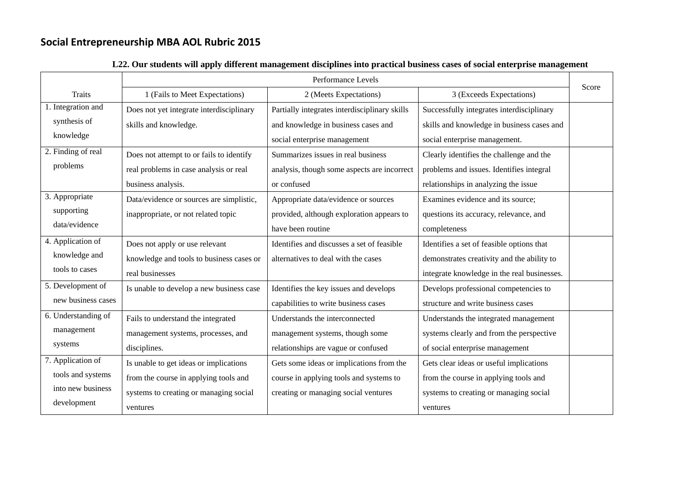|                     | Performance Levels                       |                                               |                                             |       |
|---------------------|------------------------------------------|-----------------------------------------------|---------------------------------------------|-------|
| <b>Traits</b>       | 1 (Fails to Meet Expectations)           | 2 (Meets Expectations)                        | 3 (Exceeds Expectations)                    | Score |
| 1. Integration and  | Does not yet integrate interdisciplinary | Partially integrates interdisciplinary skills | Successfully integrates interdisciplinary   |       |
| synthesis of        | skills and knowledge.                    | and knowledge in business cases and           | skills and knowledge in business cases and  |       |
| knowledge           |                                          | social enterprise management                  | social enterprise management.               |       |
| 2. Finding of real  | Does not attempt to or fails to identify | Summarizes issues in real business            | Clearly identifies the challenge and the    |       |
| problems            | real problems in case analysis or real   | analysis, though some aspects are incorrect   | problems and issues. Identifies integral    |       |
|                     | business analysis.                       | or confused                                   | relationships in analyzing the issue        |       |
| 3. Appropriate      | Data/evidence or sources are simplistic, | Appropriate data/evidence or sources          | Examines evidence and its source;           |       |
| supporting          | inappropriate, or not related topic      | provided, although exploration appears to     | questions its accuracy, relevance, and      |       |
| data/evidence       |                                          | have been routine                             | completeness                                |       |
| 4. Application of   | Does not apply or use relevant           | Identifies and discusses a set of feasible    | Identifies a set of feasible options that   |       |
| knowledge and       | knowledge and tools to business cases or | alternatives to deal with the cases           | demonstrates creativity and the ability to  |       |
| tools to cases      | real businesses                          |                                               | integrate knowledge in the real businesses. |       |
| 5. Development of   | Is unable to develop a new business case | Identifies the key issues and develops        | Develops professional competencies to       |       |
| new business cases  |                                          | capabilities to write business cases          | structure and write business cases          |       |
| 6. Understanding of | Fails to understand the integrated       | Understands the interconnected                | Understands the integrated management       |       |
| management          | management systems, processes, and       | management systems, though some               | systems clearly and from the perspective    |       |
| systems             | disciplines.                             | relationships are vague or confused           | of social enterprise management             |       |
| 7. Application of   | Is unable to get ideas or implications   | Gets some ideas or implications from the      | Gets clear ideas or useful implications     |       |
| tools and systems   | from the course in applying tools and    | course in applying tools and systems to       | from the course in applying tools and       |       |
| into new business   | systems to creating or managing social   | creating or managing social ventures          | systems to creating or managing social      |       |
| development         | ventures                                 |                                               | ventures                                    |       |

### **L22. Our students will apply different management disciplines into practical business cases of social enterprise management**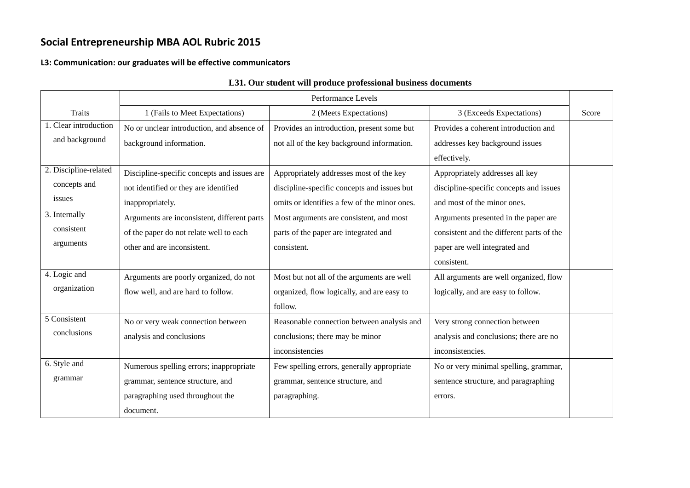#### **L3: Communication: our graduates will be effective communicators**

|                       | Performance Levels                          |                                              |                                           |       |
|-----------------------|---------------------------------------------|----------------------------------------------|-------------------------------------------|-------|
| <b>Traits</b>         | 1 (Fails to Meet Expectations)              | 2 (Meets Expectations)                       | 3 (Exceeds Expectations)                  | Score |
| 1. Clear introduction | No or unclear introduction, and absence of  | Provides an introduction, present some but   | Provides a coherent introduction and      |       |
| and background        | background information.                     | not all of the key background information.   | addresses key background issues           |       |
|                       |                                             |                                              | effectively.                              |       |
| 2. Discipline-related | Discipline-specific concepts and issues are | Appropriately addresses most of the key      | Appropriately addresses all key           |       |
| concepts and          | not identified or they are identified       | discipline-specific concepts and issues but  | discipline-specific concepts and issues   |       |
| issues                | inappropriately.                            | omits or identifies a few of the minor ones. | and most of the minor ones.               |       |
| 3. Internally         | Arguments are inconsistent, different parts | Most arguments are consistent, and most      | Arguments presented in the paper are      |       |
| consistent            | of the paper do not relate well to each     | parts of the paper are integrated and        | consistent and the different parts of the |       |
| arguments             | other and are inconsistent.                 | consistent.                                  | paper are well integrated and             |       |
|                       |                                             |                                              | consistent.                               |       |
| 4. Logic and          | Arguments are poorly organized, do not      | Most but not all of the arguments are well   | All arguments are well organized, flow    |       |
| organization          | flow well, and are hard to follow.          | organized, flow logically, and are easy to   | logically, and are easy to follow.        |       |
|                       |                                             | follow.                                      |                                           |       |
| 5 Consistent          | No or very weak connection between          | Reasonable connection between analysis and   | Very strong connection between            |       |
| conclusions           | analysis and conclusions                    | conclusions; there may be minor              | analysis and conclusions; there are no    |       |
|                       |                                             | inconsistencies                              | inconsistencies.                          |       |
| 6. Style and          | Numerous spelling errors; inappropriate     | Few spelling errors, generally appropriate   | No or very minimal spelling, grammar,     |       |
| grammar               | grammar, sentence structure, and            | grammar, sentence structure, and             | sentence structure, and paragraphing      |       |
|                       | paragraphing used throughout the            | paragraphing.                                | errors.                                   |       |
|                       | document.                                   |                                              |                                           |       |

### **L31. Our student will produce professional business documents**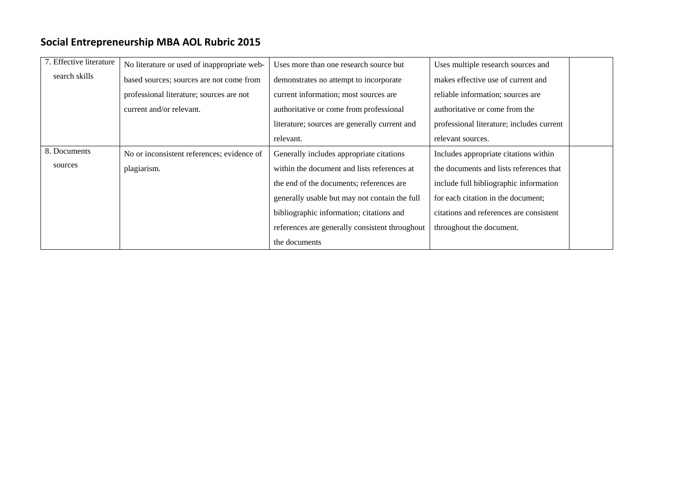| 7. Effective literature | No literature or used of inappropriate web- | Uses more than one research source but         | Uses multiple research sources and        |
|-------------------------|---------------------------------------------|------------------------------------------------|-------------------------------------------|
| search skills           | based sources; sources are not come from    | demonstrates no attempt to incorporate         | makes effective use of current and        |
|                         | professional literature; sources are not    | current information; most sources are          | reliable information; sources are         |
|                         | current and/or relevant.                    | authoritative or come from professional        | authoritative or come from the            |
|                         |                                             | literature; sources are generally current and  | professional literature; includes current |
|                         |                                             | relevant.                                      | relevant sources.                         |
| 8. Documents            | No or inconsistent references; evidence of  | Generally includes appropriate citations       | Includes appropriate citations within     |
| sources                 | plagiarism.                                 | within the document and lists references at    | the documents and lists references that   |
|                         |                                             | the end of the documents; references are       | include full bibliographic information    |
|                         |                                             | generally usable but may not contain the full  | for each citation in the document;        |
|                         |                                             | bibliographic information; citations and       | citations and references are consistent   |
|                         |                                             | references are generally consistent throughout | throughout the document.                  |
|                         |                                             | the documents                                  |                                           |